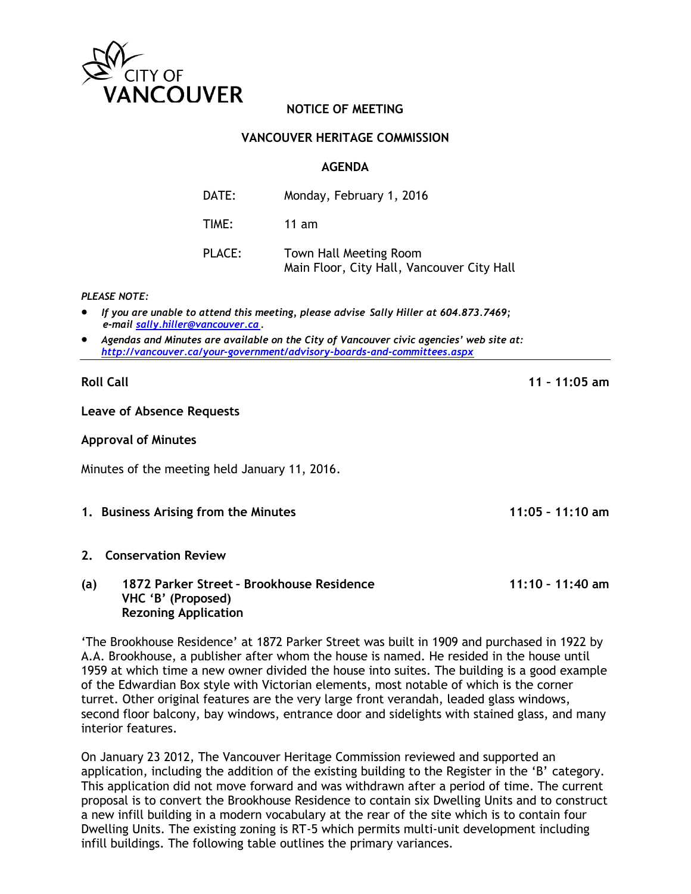

# **NOTICE OF MEETING**

### **VANCOUVER HERITAGE COMMISSION**

### **AGENDA**

| DATE:  | Monday, February 1, 2016                                             |
|--------|----------------------------------------------------------------------|
| TIME:  | $11$ am                                                              |
| PLACE: | Town Hall Meeting Room<br>Main Floor, City Hall, Vancouver City Hall |

#### *PLEASE NOTE:*

- *If you are unable to attend this meeting, please advise Sally Hiller at 604.873.7469; e-mail [sally.hiller@vancouver.ca.](mailto:sally.hiller@vancouver.ca)*
- *Agendas and Minutes are available on the City of Vancouver civic agencies' web site at: <http://vancouver.ca/your-government/advisory-boards-and-committees.aspx>*

#### **Roll Call 11 – 11:05 am**

#### **Leave of Absence Requests**

#### **Approval of Minutes**

Minutes of the meeting held January 11, 2016.

**1. Business Arising from the Minutes 11:05 – 11:10 am**

### **2. Conservation Review**

### **(a) 1872 Parker Street – Brookhouse Residence 11:10 – 11:40 am VHC 'B' (Proposed) Rezoning Application**

'The Brookhouse Residence' at 1872 Parker Street was built in 1909 and purchased in 1922 by A.A. Brookhouse, a publisher after whom the house is named. He resided in the house until 1959 at which time a new owner divided the house into suites. The building is a good example of the Edwardian Box style with Victorian elements, most notable of which is the corner turret. Other original features are the very large front verandah, leaded glass windows, second floor balcony, bay windows, entrance door and sidelights with stained glass, and many interior features.

On January 23 2012, The Vancouver Heritage Commission reviewed and supported an application, including the addition of the existing building to the Register in the 'B' category. This application did not move forward and was withdrawn after a period of time. The current proposal is to convert the Brookhouse Residence to contain six Dwelling Units and to construct a new infill building in a modern vocabulary at the rear of the site which is to contain four Dwelling Units. The existing zoning is RT-5 which permits multi-unit development including infill buildings. The following table outlines the primary variances.